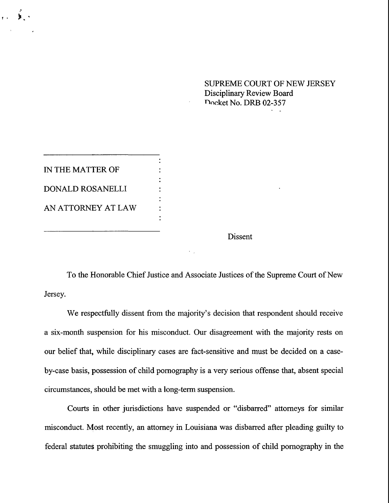SUPREME COURT OF NEW JERSEY Disciplinary Review Board Docket No. DRB 02-357

**IN THE MATTER OF** DONALD ROSANELLI AN ATTORNEY AT LAW

Dissent

To the Honorable Chief Justice and Associate Justices of the Supreme Court of New Jersey.

We respectfully dissent from the majority's decision that respondent should receive **a** six-month suspension for his misconduct. Our disagreement with the majority rests on our belief that, while disciplinary cases are fact-sensitive and must be decided on a caseby-case basis, possession of child pornography is a very serious offense that, absent special circumstances, should be met with a long-term suspension.

Courts in other jurisdictions have suspended or "disbarred" attorneys for similar misconduct. Most recently, an attorney in Louisiana was disbarred after pleading guilty to federal statutes prohibiting the smuggling into and possession of child pornography in the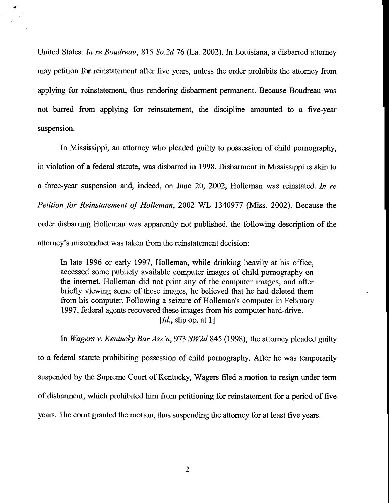United States. *In re Boudreau,* 815 *So.2d* 76 (La. 2002). In Louisiana, a disbarred attorney may petition for reinstatement after five years, unless the order prohibits the attorney from applying for reinstatement, thus rendering disbarment permanent. Because Boudreau was not barred from applying for reinstatement, the discipline amounted to a five-year suspension.

In Mississippi, an attorney who pleaded guilty to possession of child pornography, in violation of a federal statute, was disbarred in 1998. Disbarment in Mississippi is akin to a three-year suspension and, indeed, on June 20, 2002, Holleman was reinstated. *In re Petition for Reinstatement of Holleman,* 2002 WL 1340977 (Miss. 2002). Because the order disbarring Holleman was apparently not published, the following description of the attorney's misconduct was taken from the reinstatement decision:

In late 1996 or early 1997, Holleman, while drinking heavily at his office, accessed some publicly available computer images of child pornography on the internet. Holleman did not print any of the computer images, and after briefly viewing some of these images, he believed that he had deleted them from his computer. Following a seizure of Holleman's computer in February 1997, federal agents recovered these images from his computer hard-drive. *[Id.,* slip op. at 1]

In *Wagers v. Kentucky Bar Ass 'n,* 973 *SW2d* 845 (1998), the attorney pleaded guilty to a federal statute prohibiting possession of child pornography. After he was temporarily suspended by the Supreme Court of Kentucky, Wagers filed a motion to resign under term of disbarment, which prohibited him from petitioning for reinstatement for a period of five years. The court granted the motion, thus suspending the attorney for at least five years.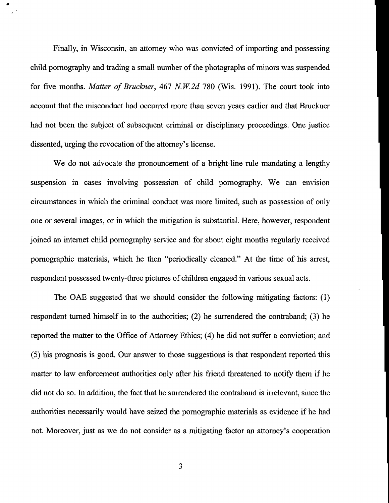Finally, in Wisconsin, an attorney who was convicted of importing and possessing child pornography and trading a small number of the photographs of minors was suspended for five months. *Matter of Bruckner,* 467 *N.W.2d* 780 (Wis. 1991). The court took into account that the misconduct had occurred more than seven years earlier and that Bruckner had not been the subject of subsequent criminal or disciplinary proceedings. One justice dissented, urging the revocation of the attorney's license.

We do not advocate the pronouncement of a bright-line rule mandating a lengthy suspension in cases involving possession of child pornography. We can envision circumstances in which the criminal conduct was more limited, such as possession of only one or several images, or in which the mitigation is substantial. Here, however, respondent joined an internet child pornography service and for about eight months regularly received pornographic materials, which he then "periodically cleaned." At the time of his arrest, respondent possessed twenty-three pictures of children engaged in various sexual acts.

The OAE suggested that we should consider the following mitigating factors: (1) respondent turned himself in to the authorities; (2) he surrendered the contraband; (3) he reported the matter to the Office of Attorney Ethics; (4) he did not suffer a conviction; and (5) his prognosis is good. Our answer to those suggestions is that respondent reported this matter to law enforcement authorities only after his friend threatened to notify them if he did not do so. In addition, the fact that he surrendered the contraband is irrelevant, since the authorities necessarily would have seized the pornographic materials as evidence if he had not. Moreover, just as we do not consider as a mitigating factor an attorney's cooperation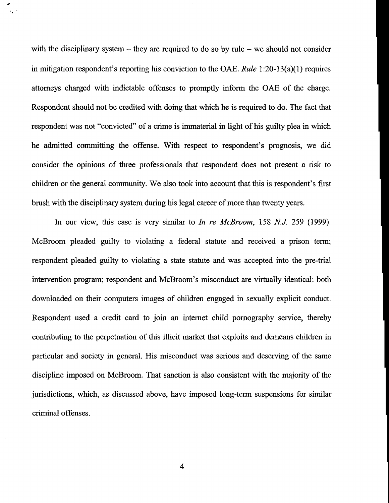with the disciplinary system  $-$  they are required to do so by rule  $-$  we should not consider in mitigation respondent's reporting his conviction to the OAE. *Rule* 1:20-13(a)(1) requires attorneys charged with indictable offenses to promptly inform the OAE of the charge. Respondent should not be credited with doing that which he is required to do. The fact that respondent was not "convicted" of a crime is immaterial in light of his guilty plea in which he admitted committing the offense. With respect to respondent's prognosis, we did consider the opinions of three professionals that respondent does not present a risk to children or the general community. We also took into account that this is respondent's first brush with the disciplinary system during his legal career of more than twenty years.

In our view, this case is very similar to *In re McBroom,* 158 N.J. 259 (1999). McBroom pleaded guilty to violating a federal statute and received a prison term; respondent pleaded guilty to violating a state statute and was accepted into the pre-trial intervention program; respondent and McBroom's misconduct are virtually identical: both downloaded on their computers images of children engaged in sexually explicit conduct. Respondent used a credit card to join an intemet child pornography service, thereby contributing to the perpetuation of this illicit market that exploits and demeans children in particular and society in general. His misconduct was serious and deserving of the same discipline imposed on McBroom. That sanction is also consistent with the majority of the jurisdictions, which, as discussed above, have imposed long-term suspensions for similar criminal offenses.